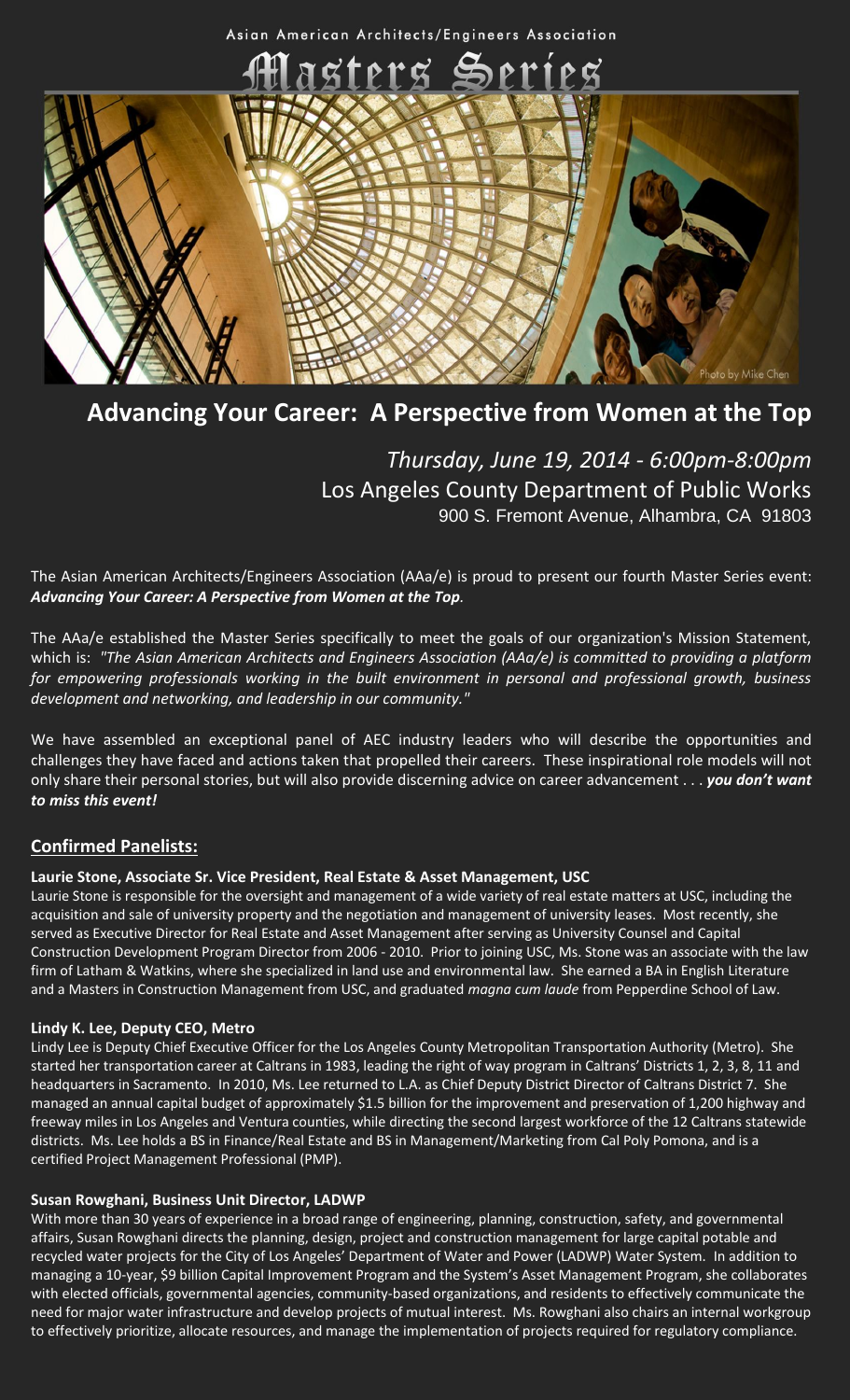Asian American Architects/Engineers Association



## **Advancing Your Career: A Perspective from Women at the Top**

## *Thursday, June 19, 2014 - 6:00pm-8:00pm* Los Angeles County Department of Public Works 900 S. Fremont Avenue, Alhambra, CA 91803

The Asian American Architects/Engineers Association (AAa/e) is proud to present our fourth Master Series event: *Advancing Your Career: A Perspective from Women at the Top.*

The AAa/e established the Master Series specifically to meet the goals of our organization's Mission Statement, which is: *"The Asian American Architects and Engineers Association (AAa/e) is committed to providing a platform for empowering professionals working in the built environment in personal and professional growth, business development and networking, and leadership in our community."*

We have assembled an exceptional panel of AEC industry leaders who will describe the opportunities and challenges they have faced and actions taken that propelled their careers. These inspirational role models will not only share their personal stories, but will also provide discerning advice on career advancement . . . *you don't want to miss this event!*

### **Confirmed Panelists:**

#### **Laurie Stone, Associate Sr. Vice President, Real Estate & Asset Management, USC**

Laurie Stone is responsible for the oversight and management of a wide variety of real estate matters at USC, including the acquisition and sale of university property and the negotiation and management of university leases. Most recently, she served as Executive Director for Real Estate and Asset Management after serving as University Counsel and Capital Construction Development Program Director from 2006 - 2010. Prior to joining USC, Ms. Stone was an associate with the law firm of Latham & Watkins, where she specialized in land use and environmental law. She earned a BA in English Literature and a Masters in Construction Management from USC, and graduated *magna cum laude* from Pepperdine School of Law.

#### **Lindy K. Lee, Deputy CEO, Metro**

Lindy Lee is Deputy Chief Executive Officer for the Los Angeles County Metropolitan Transportation Authority (Metro). She started her transportation career at Caltrans in 1983, leading the right of way program in Caltrans' Districts 1, 2, 3, 8, 11 and headquarters in Sacramento. In 2010, Ms. Lee returned to L.A. as Chief Deputy District Director of Caltrans District 7. She managed an annual capital budget of approximately \$1.5 billion for the improvement and preservation of 1,200 highway and freeway miles in Los Angeles and Ventura counties, while directing the second largest workforce of the 12 Caltrans statewide districts. Ms. Lee holds a BS in Finance/Real Estate and BS in Management/Marketing from Cal Poly Pomona, and is a certified Project Management Professional (PMP).

#### **Susan Rowghani, Business Unit Director, LADWP**

With more than 30 years of experience in a broad range of engineering, planning, construction, safety, and governmental affairs, Susan Rowghani directs the planning, design, project and construction management for large capital potable and recycled water projects for the City of Los Angeles' Department of Water and Power (LADWP) Water System. In addition to managing a 10-year, \$9 billion Capital Improvement Program and the System's Asset Management Program, she collaborates with elected officials, governmental agencies, community-based organizations, and residents to effectively communicate the need for major water infrastructure and develop projects of mutual interest. Ms. Rowghani also chairs an internal workgroup to effectively prioritize, allocate resources, and manage the implementation of projects required for regulatory compliance.